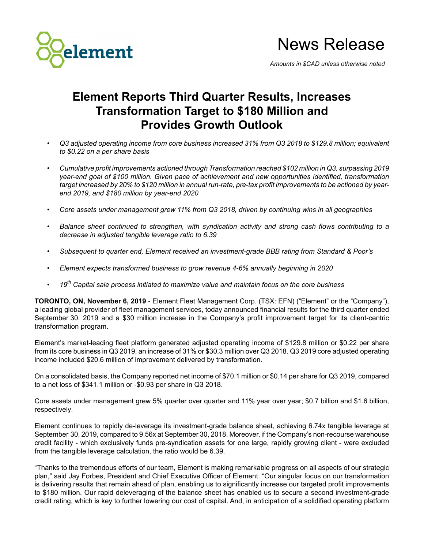

# News Release

*Amounts in \$CAD unless otherwise noted*

## **Element Reports Third Quarter Results, Increases Transformation Target to \$180 Million and Provides Growth Outlook**

- *Q3 adjusted operating income from core business increased 31% from Q3 2018 to \$129.8 million; equivalent to \$0.22 on a per share basis*
- *Cumulative profit improvements actioned through Transformation reached \$102 millionin Q3, surpassing 2019 year-end goal of \$100 million. Given pace of achievement and new opportunities identified, transformation target increased by 20% to \$120 million in annual run-rate, pre-tax profit improvements to be actioned by yearend 2019, and \$180 million by year-end 2020*
- *Core assets under management grew 11% from Q3 2018, driven by continuing wins in all geographies*
- *Balance sheet continued to strengthen, with syndication activity and strong cash flows contributing to a decrease in adjusted tangible leverage ratio to 6.39*
- *Subsequent to quarter end, Element received an investment-grade BBB rating from Standard & Poor's*
- *Element expects transformed business to grow revenue 4-6% annually beginning in 2020*
- *19th Capital sale process initiated to maximize value and maintain focus on the core business*

**TORONTO, ON, November 6, 2019** - Element Fleet Management Corp. (TSX: EFN) ("Element" or the "Company"), a leading global provider of fleet management services, today announced financial results for the third quarter ended September 30, 2019 and a \$30 million increase in the Company's profit improvement target for its client-centric transformation program.

Element's market-leading fleet platform generated adjusted operating income of \$129.8 million or \$0.22 per share from its core business in Q3 2019, an increase of 31% or \$30.3 million over Q3 2018. Q3 2019 core adjusted operating income included \$20.6 million of improvement delivered by transformation.

On a consolidated basis, the Company reported net income of \$70.1 million or \$0.14 per share for Q3 2019, compared to a net loss of \$341.1 million or -\$0.93 per share in Q3 2018.

Core assets under management grew 5% quarter over quarter and 11% year over year; \$0.7 billion and \$1.6 billion, respectively.

Element continues to rapidly de-leverage its investment-grade balance sheet, achieving 6.74x tangible leverage at September 30, 2019, compared to 9.56x at September 30, 2018. Moreover, if the Company's non-recourse warehouse credit facility - which exclusively funds pre-syndication assets for one large, rapidly growing client - were excluded from the tangible leverage calculation, the ratio would be 6.39.

"Thanks to the tremendous efforts of our team, Element is making remarkable progress on all aspects of our strategic plan," said Jay Forbes, President and Chief Executive Officer of Element. "Our singular focus on our transformation is delivering results that remain ahead of plan, enabling us to significantly increase our targeted profit improvements to \$180 million. Our rapid deleveraging of the balance sheet has enabled us to secure a second investment-grade credit rating, which is key to further lowering our cost of capital. And, in anticipation of a solidified operating platform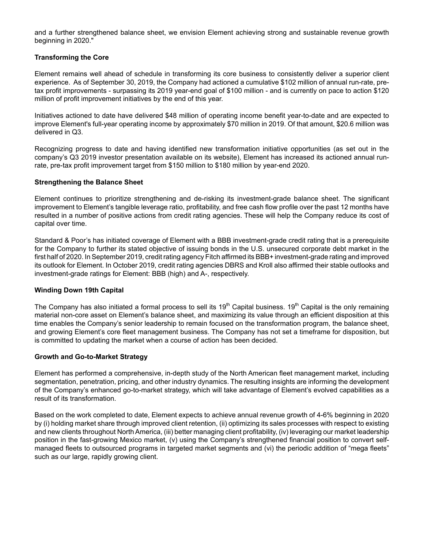and a further strengthened balance sheet, we envision Element achieving strong and sustainable revenue growth beginning in 2020."

#### **Transforming the Core**

Element remains well ahead of schedule in transforming its core business to consistently deliver a superior client experience. As of September 30, 2019, the Company had actioned a cumulative \$102 million of annual run-rate, pretax profit improvements - surpassing its 2019 year-end goal of \$100 million - and is currently on pace to action \$120 million of profit improvement initiatives by the end of this year.

Initiatives actioned to date have delivered \$48 million of operating income benefit year-to-date and are expected to improve Element's full-year operating income by approximately \$70 million in 2019. Of that amount, \$20.6 million was delivered in Q3.

Recognizing progress to date and having identified new transformation initiative opportunities (as set out in the company's Q3 2019 investor presentation available on its website), Element has increased its actioned annual runrate, pre-tax profit improvement target from \$150 million to \$180 million by year-end 2020.

#### **Strengthening the Balance Sheet**

Element continues to prioritize strengthening and de-risking its investment-grade balance sheet. The significant improvement to Element's tangible leverage ratio, profitability, and free cash flow profile over the past 12 months have resulted in a number of positive actions from credit rating agencies. These will help the Company reduce its cost of capital over time.

Standard & Poor's has initiated coverage of Element with a BBB investment-grade credit rating that is a prerequisite for the Company to further its stated objective of issuing bonds in the U.S. unsecured corporate debt market in the first half of 2020. In September 2019, credit rating agency Fitch affirmed its BBB+ investment-grade rating and improved its outlook for Element. In October 2019, credit rating agencies DBRS and Kroll also affirmed their stable outlooks and investment-grade ratings for Element: BBB (high) and A-, respectively.

#### **Winding Down 19th Capital**

The Company has also initiated a formal process to sell its  $19<sup>th</sup>$  Capital business.  $19<sup>th</sup>$  Capital is the only remaining material non-core asset on Element's balance sheet, and maximizing its value through an efficient disposition at this time enables the Company's senior leadership to remain focused on the transformation program, the balance sheet, and growing Element's core fleet management business. The Company has not set a timeframe for disposition, but is committed to updating the market when a course of action has been decided.

#### **Growth and Go-to-Market Strategy**

Element has performed a comprehensive, in-depth study of the North American fleet management market, including segmentation, penetration, pricing, and other industry dynamics. The resulting insights are informing the development of the Company's enhanced go-to-market strategy, which will take advantage of Element's evolved capabilities as a result of its transformation.

Based on the work completed to date, Element expects to achieve annual revenue growth of 4-6% beginning in 2020 by (i) holding market share through improved client retention, (ii) optimizing its sales processes with respect to existing and new clients throughout North America, (iii) better managing client profitability, (iv) leveraging our market leadership position in the fast-growing Mexico market, (v) using the Company's strengthened financial position to convert selfmanaged fleets to outsourced programs in targeted market segments and (vi) the periodic addition of "mega fleets" such as our large, rapidly growing client.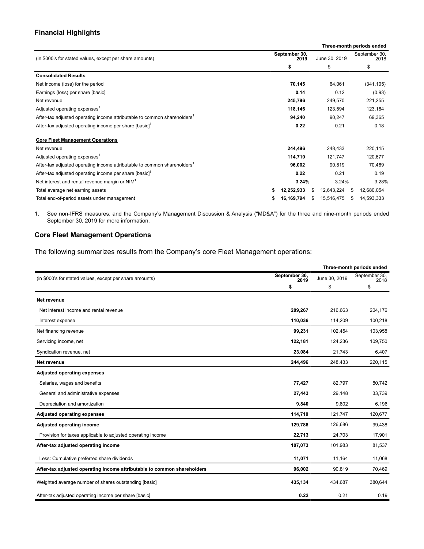### **Financial Highlights**

|                                                                                      |  |                       |    | Three-month periods ended |       |                       |  |
|--------------------------------------------------------------------------------------|--|-----------------------|----|---------------------------|-------|-----------------------|--|
| (in \$000's for stated values, except per share amounts)                             |  | September 30,<br>2019 |    | June 30, 2019             |       | September 30,<br>2018 |  |
|                                                                                      |  | \$                    |    | \$                        |       | \$                    |  |
| <b>Consolidated Results</b>                                                          |  |                       |    |                           |       |                       |  |
| Net income (loss) for the period                                                     |  | 70,145                |    | 64,061                    |       | (341, 105)            |  |
| Earnings (loss) per share [basic]                                                    |  | 0.14                  |    | 0.12                      |       | (0.93)                |  |
| Net revenue                                                                          |  | 245,796               |    | 249,570                   |       | 221,255               |  |
| Adjusted operating expenses <sup>1</sup>                                             |  | 118,146               |    | 123,594                   |       | 123,164               |  |
| After-tax adjusted operating income attributable to common shareholders              |  | 94,240                |    | 90,247                    |       | 69,365                |  |
| After-tax adjusted operating income per share [basic] <sup>1</sup>                   |  | 0.22                  |    | 0.21                      |       | 0.18                  |  |
| <b>Core Fleet Management Operations</b>                                              |  |                       |    |                           |       |                       |  |
| Net revenue                                                                          |  | 244,496               |    | 248,433                   |       | 220,115               |  |
| Adjusted operating expenses <sup>1</sup>                                             |  | 114,710               |    | 121,747                   |       | 120,677               |  |
| After-tax adjusted operating income attributable to common shareholders <sup>1</sup> |  | 96,002                |    | 90,819                    |       | 70,469                |  |
| After-tax adjusted operating income per share [basic] <sup>1</sup>                   |  | 0.22                  |    | 0.21                      |       | 0.19                  |  |
| Net interest and rental revenue margin or NIM <sup>1</sup>                           |  | 3.24%<br>3.24%        |    |                           | 3.28% |                       |  |
| Total average net earning assets                                                     |  | 12,252,933            | -S | 12,643,224                | \$    | 12,680,054            |  |
| Total end-of-period assets under management                                          |  | 16,169,794            | S  | 15,516,475                | \$    | 14,593,333            |  |

1. See non-IFRS measures, and the Company's Management Discussion & Analysis ("MD&A") for the three and nine-month periods ended September 30, 2019 for more information.

#### **Core Fleet Management Operations**

The following summarizes results from the Company's core Fleet Management operations:

|                                                                         |                       | Three-month periods ended |                       |  |  |  |
|-------------------------------------------------------------------------|-----------------------|---------------------------|-----------------------|--|--|--|
| (in \$000's for stated values, except per share amounts)                | September 30,<br>2019 | June 30, 2019             | September 30,<br>2018 |  |  |  |
|                                                                         | \$                    | \$                        | \$                    |  |  |  |
| Net revenue                                                             |                       |                           |                       |  |  |  |
| Net interest income and rental revenue                                  | 209,267               | 216,663                   | 204,176               |  |  |  |
| Interest expense                                                        | 110,036               | 114,209                   | 100,218               |  |  |  |
| Net financing revenue                                                   | 99,231                | 102,454                   | 103,958               |  |  |  |
| Servicing income, net                                                   | 122,181               | 124,236                   | 109,750               |  |  |  |
| Syndication revenue, net                                                | 23,084                | 21,743                    | 6,407                 |  |  |  |
| Net revenue                                                             | 244,496               | 248,433                   | 220,115               |  |  |  |
| <b>Adjusted operating expenses</b>                                      |                       |                           |                       |  |  |  |
| Salaries, wages and benefits                                            | 77,427                | 82,797                    | 80,742                |  |  |  |
| General and administrative expenses                                     | 27,443                | 29,148                    | 33,739                |  |  |  |
| Depreciation and amortization                                           | 9,840                 | 9,802                     | 6,196                 |  |  |  |
| <b>Adjusted operating expenses</b>                                      | 114,710               | 121,747                   | 120,677               |  |  |  |
| Adjusted operating income                                               | 129,786               | 126,686                   | 99,438                |  |  |  |
| Provision for taxes applicable to adjusted operating income             | 22,713                | 24,703                    | 17,901                |  |  |  |
| After-tax adjusted operating income                                     | 107,073               | 101,983                   | 81,537                |  |  |  |
| Less: Cumulative preferred share dividends                              | 11,071                | 11,164                    | 11,068                |  |  |  |
| After-tax adjusted operating income attributable to common shareholders | 96,002                | 90,819                    | 70,469                |  |  |  |
| Weighted average number of shares outstanding [basic]                   | 435,134               | 434,687                   | 380,644               |  |  |  |
| After-tax adjusted operating income per share [basic]                   | 0.22                  | 0.21                      | 0.19                  |  |  |  |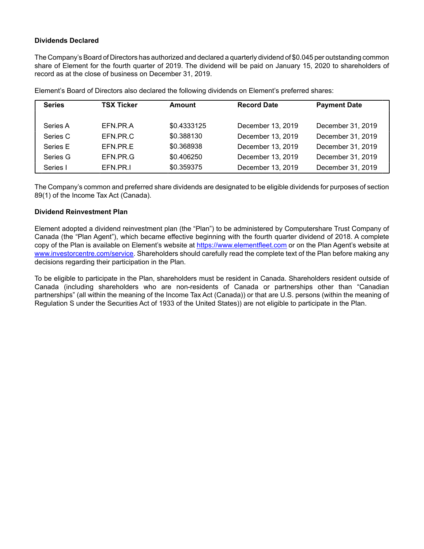#### **Dividends Declared**

The Company's Board of Directors has authorized and declared a quarterly dividend of \$0.045 per outstanding common share of Element for the fourth quarter of 2019. The dividend will be paid on January 15, 2020 to shareholders of record as at the close of business on December 31, 2019.

| <b>Series</b> | <b>TSX Ticker</b> | Amount      | <b>Record Date</b> | <b>Payment Date</b> |
|---------------|-------------------|-------------|--------------------|---------------------|
| Series A      | FFN PR A          | \$0.4333125 | December 13, 2019  | December 31, 2019   |
| Series C      | EFN.PR.C          | \$0.388130  | December 13, 2019  | December 31, 2019   |
| Series E      | EFN.PR.F          | \$0.368938  | December 13, 2019  | December 31, 2019   |
| Series G      | EFN.PR.G          | \$0.406250  | December 13, 2019  | December 31, 2019   |
| Series I      | EFN.PR.I          | \$0.359375  | December 13, 2019  | December 31, 2019   |

Element's Board of Directors also declared the following dividends on Element's preferred shares:

The Company's common and preferred share dividends are designated to be eligible dividends for purposes of section 89(1) of the Income Tax Act (Canada).

#### **Dividend Reinvestment Plan**

Element adopted a dividend reinvestment plan (the "Plan") to be administered by Computershare Trust Company of Canada (the "Plan Agent"), which became effective beginning with the fourth quarter dividend of 2018. A complete copy of the Plan is available on Element's website at https://www.elementfleet.com or on the Plan Agent's website at www.investorcentre.com/service. Shareholders should carefully read the complete text of the Plan before making any decisions regarding their participation in the Plan.

To be eligible to participate in the Plan, shareholders must be resident in Canada. Shareholders resident outside of Canada (including shareholders who are non-residents of Canada or partnerships other than "Canadian partnerships" (all within the meaning of the Income Tax Act (Canada)) or that are U.S. persons (within the meaning of Regulation S under the Securities Act of 1933 of the United States)) are not eligible to participate in the Plan.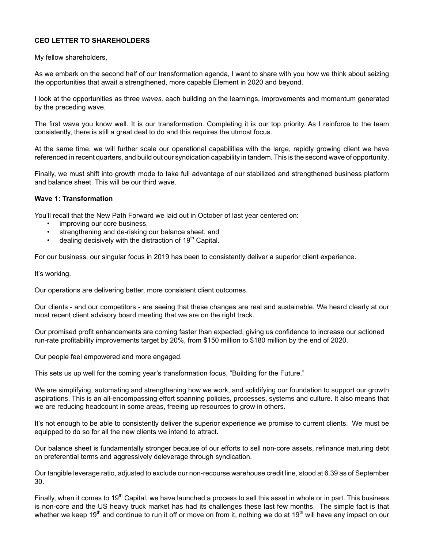#### **CEO LETTER TO SHAREHOLDERS**

My fellow shareholders,

As we embark on the second half of our transformation agenda, I want to share with you how we think about seizing the opportunities that await a strengthened, more capable Element in 2020 and beyond.

I look at the opportunities as three *waves,* each building on the learnings, improvements and momentum generated by the preceding wave.

The first wave you know well. It is our transformation. Completing it is our top priority. As I reinforce to the team consistently, there is still a great deal to do and this requires the utmost focus.

At the same time, we will further scale our operational capabilities with the large, rapidly growing client we have referenced in recent quarters, and build out our syndication capability in tandem. This is the second wave of opportunity.

Finally, we must shift into growth mode to take full advantage of our stabilized and strengthened business platform and balance sheet. This will be our third wave.

#### **Wave 1: Transformation**

You'll recall that the New Path Forward we laid out in October of last year centered on:

- improving our core business,
- strengthening and de-risking our balance sheet, and
- dealing decisively with the distraction of 19<sup>th</sup> Capital.

For our business, our singular focus in 2019 has been to consistently deliver a superior client experience.

It's working.

Our operations are delivering better, more consistent client outcomes.

Our clients - and our competitors - are seeing that these changes are real and sustainable. We heard clearly at our most recent client advisory board meeting that we are on the right track.

Our promised profit enhancements are coming faster than expected, giving us confidence to increase our actioned run-rate profitability improvements target by 20%, from \$150 million to \$180 million by the end of 2020.

Our people feel empowered and more engaged.

This sets us up well for the coming year's transformation focus, "Building for the Future."

We are simplifying, automating and strengthening how we work, and solidifying our foundation to support our growth aspirations. This is an all-encompassing effort spanning policies, processes, systems and culture. It also means that we are reducing headcount in some areas, freeing up resources to grow in others.

It's not enough to be able to consistently deliver the superior experience we promise to current clients. We must be equipped to do so for all the new clients we intend to attract.

Our balance sheet is fundamentally stronger because of our efforts to sell non-core assets, refinance maturing debt on preferential terms and aggressively deleverage through syndication.

Our tangible leverage ratio, adjusted to exclude our non-recourse warehouse credit line, stood at 6.39as of September 30.

Finally, when it comes to 19<sup>th</sup> Capital, we have launched a process to sell this asset in whole or in part. This business is non-core and the US heavy truck market has had its challenges these last few months. The simple fact is that whether we keep 19<sup>th</sup> and continue to run it off or move on from it, nothing we do at 19<sup>th</sup> will have any impact on our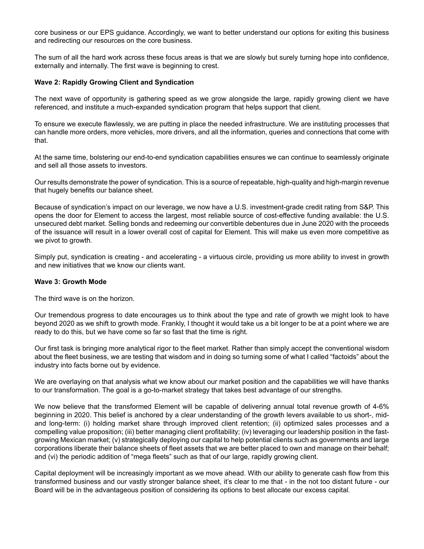core business or our EPS guidance. Accordingly, we want to better understand our options for exiting this business and redirecting our resources on the core business.

The sum of all the hard work across these focus areas is that we are slowly but surely turning hope into confidence, externally and internally. The first wave is beginning to crest.

#### **Wave 2: Rapidly Growing Client and Syndication**

The next wave of opportunity is gathering speed as we grow alongside the large, rapidly growing client we have referenced, and institute a much-expanded syndication program that helps support that client.

To ensure we execute flawlessly, we are putting in place the needed infrastructure. We are instituting processes that can handle more orders, more vehicles, more drivers, and all the information, queries and connections that come with that.

At the same time, bolstering our end-to-end syndication capabilities ensures we can continue to seamlessly originate and sell all those assets to investors.

Our results demonstrate the power of syndication. This is a source of repeatable, high-quality and high-margin revenue that hugely benefits our balance sheet.

Because of syndication's impact on our leverage, we now have a U.S. investment-grade credit rating from S&P. This opens the door for Element to access the largest, most reliable source of cost-effective funding available: the U.S. unsecured debt market. Selling bonds and redeeming our convertible debentures due in June 2020 with the proceeds of the issuance will result in a lower overall cost of capital for Element. This will make us even more competitive as we pivot to growth.

Simply put, syndication is creating - and accelerating - a virtuous circle, providing us more ability to invest in growth and new initiatives that we know our clients want.

#### **Wave 3: Growth Mode**

The third wave is on the horizon.

Our tremendous progress to date encourages us to think about the type and rate of growth we might look to have beyond 2020 as we shift to growth mode. Frankly, I thought it would take us a bit longer to be at a point where we are ready to do this, but we have come so far so fast that the time is right.

Our first task is bringing more analytical rigor to the fleet market. Rather than simply accept the conventional wisdom about the fleet business, we are testing that wisdom and in doing so turning some of what I called "factoids" about the industry into facts borne out by evidence.

We are overlaying on that analysis what we know about our market position and the capabilities we will have thanks to our transformation. The goal is a go-to-market strategy that takes best advantage of our strengths.

We now believe that the transformed Element will be capable of delivering annual total revenue growth of 4-6% beginning in 2020. This belief is anchored by a clear understanding of the growth levers available to us short-, midand long-term: (i) holding market share through improved client retention; (ii) optimized sales processes and a compelling value proposition; (iii) better managing client profitability; (iv) leveraging our leadership position in the fastgrowing Mexican market; (v) strategically deploying our capital to help potential clients such as governments and large corporations liberate their balance sheets of fleet assets that we are better placed to own and manage on their behalf; and (vi) the periodic addition of "mega fleets" such as that of our large, rapidly growing client.

Capital deployment will be increasingly important as we move ahead. With our ability to generate cash flow from this transformed business and our vastly stronger balance sheet, it's clear to me that - in the not too distant future - our Board will be in the advantageous position of considering its options to best allocate our excess capital.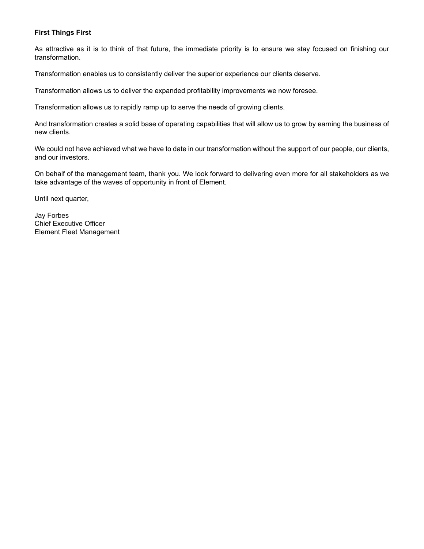#### **First Things First**

As attractive as it is to think of that future, the immediate priority is to ensure we stay focused on finishing our transformation.

Transformation enables us to consistently deliver the superior experience our clients deserve.

Transformation allows us to deliver the expanded profitability improvements we now foresee.

Transformation allows us to rapidly ramp up to serve the needs of growing clients.

And transformation creates a solid base of operating capabilities that will allow us to grow by earning the business of new clients.

We could not have achieved what we have to date in our transformation without the support of our people, our clients, and our investors.

On behalf of the management team, thank you. We look forward to delivering even more for all stakeholders as we take advantage of the waves of opportunity in front of Element.

Until next quarter,

Jay Forbes Chief Executive Officer Element Fleet Management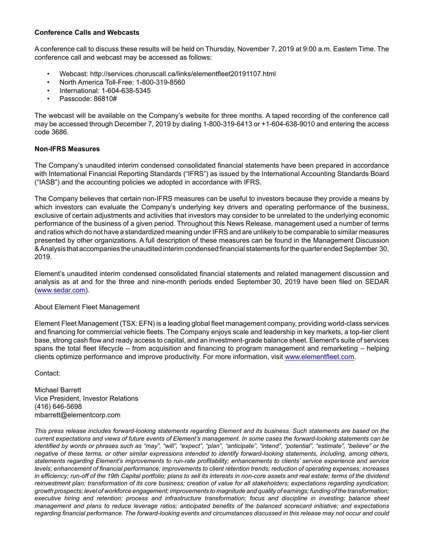#### **Conference Calls and Webcasts**

A conference call to discuss these results will be held on Thursday, November 7, 2019 at 9:00 a.m. Eastern Time. The conference call and webcast may be accessed as follows:

- Webcast: http://services.choruscall.ca/links/elementfleet20191107.html
- North America Toll-Free: 1-800-319-8560
- International: 1-604-638-5345
- Passcode: 86810#

The webcast will be available on the Company's website for three months. A taped recording of the conference call may be accessed through December 7, 2019 by dialing 1-800-319-6413 or +1-604-638-9010 and entering the access code 3686.

#### **Non-IFRS Measures**

The Company's unaudited interim condensed consolidated financial statements have been prepared in accordance with International Financial Reporting Standards ("IFRS") as issued by the International Accounting Standards Board ("IASB") and the accounting policies we adopted in accordance with IFRS.

The Company believes that certain non-IFRS measures can be useful to investors because they provide a means by which investors can evaluate the Company's underlying key drivers and operating performance of the business, exclusive of certain adjustments and activities that investors may consider to be unrelated to the underlying economic performance of the business of a given period. Throughout this News Release, management used a number of terms and ratios which do not have a standardized meaning under IFRS and are unlikely to be comparable to similar measures presented by other organizations. A full description of these measures can be found in the Management Discussion & Analysis that accompanies the unaudited interim condensedfinancial statements for the quarter ended September 30, 2019.

Element's unaudited interim condensed consolidated financial statements and related management discussion and analysis as at and for the three and nine-month periods ended September 30, 2019 have been filed on SEDAR (www.sedar.com).

#### About Element Fleet Management

Element Fleet Management (TSX: EFN) is a leading global fleet management company, providing world-class services and financing for commercial vehicle fleets. The Company enjoys scale and leadership in key markets, a top-tier client base, strong cash flow and ready access to capital, and an investment-grade balance sheet. Element's suite of services spans the total fleet lifecycle – from acquisition and financing to program management and remarketing – helping clients optimize performance and improve productivity. For more information, visit www.elementfleet.com.

Contact:

Michael Barrett Vice President, Investor Relations (416) 646-5698 mbarrett@elementcorp.com

*This press release includes forward-looking statements regarding Element and its business. Such statements are based on the current expectations and views of future events of Element's management. In some cases the forward-looking statements can be identified by words or phrases such as "may", "will", "expect", "plan", "anticipate", "intend", "potential", "estimate", "believe" or the negative of these terms, or other similar expressions intended to identify forward-looking statements, including, among others, statements regarding Element's improvements to run-rate profitability; enhancements to clients' service experience and service levels; enhancement of financial performance; improvements to client retention trends; reduction of operating expenses; increases in efficiency; run-off of the 19th Capital portfolio; plans to sell its interests in non-core assets and real estate; terms of the dividend reinvestment plan; transformation of its core business; creation of value for all stakeholders; expectations regarding syndication; growth prospects; level of workforce engagement; improvements to magnitude and quality of earnings; funding of the transformation; executive hiring and retention; process and infrastructure transformation; focus and discipline in investing; balance sheet management and plans to reduce leverage ratios; anticipated benefits of the balanced scorecard initiative; and expectations regarding financial performance. The forward-looking events and circumstances discussed in this release may not occur and could*